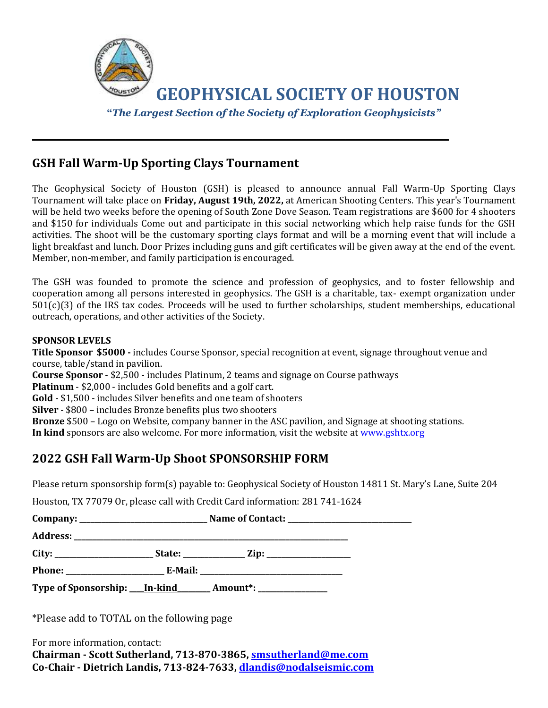

\_\_\_\_\_\_\_\_\_\_\_\_\_\_\_\_\_\_\_\_\_\_\_\_\_\_\_\_\_\_\_\_\_\_\_\_\_\_\_\_\_\_\_\_\_\_\_\_\_\_\_\_\_\_\_\_\_\_\_\_\_\_\_\_\_\_\_\_\_\_\_\_\_\_\_\_\_\_\_\_\_\_\_\_\_

### **GSH Fall Warm-Up Sporting Clays Tournament**

The Geophysical Society of Houston (GSH) is pleased to announce annual Fall Warm-Up Sporting Clays Tournament will take place on **Friday, August 19th, 2022,** at American Shooting Centers. This year's Tournament will be held two weeks before the opening of South Zone Dove Season. Team registrations are \$600 for 4 shooters and \$150 for individuals Come out and participate in this social networking which help raise funds for the GSH activities. The shoot will be the customary sporting clays format and will be a morning event that will include a light breakfast and lunch. Door Prizes including guns and gift certificates will be given away at the end of the event. Member, non-member, and family participation is encouraged.

The GSH was founded to promote the science and profession of geophysics, and to foster fellowship and cooperation among all persons interested in geophysics. The GSH is a charitable, tax- exempt organization under 501(c)(3) of the IRS tax codes. Proceeds will be used to further scholarships, student memberships, educational outreach, operations, and other activities of the Society.

#### **SPONSOR LEVELS**

**Title Sponsor \$5000 -** includes Course Sponsor, special recognition at event, signage throughout venue and course, table/stand in pavilion.

**Course Sponsor** - \$2,500 - includes Platinum, 2 teams and signage on Course pathways

**Platinum** - \$2,000 - includes Gold benefits and a golf cart.

**Gold** - \$1,500 - includes Silver benefits and one team of shooters

**Silver** - \$800 – includes Bronze benefits plus two shooters

**Bronze** \$500 – Logo on Website, company banner in the ASC pavilion, and Signage at shooting stations.

**In kind** sponsors are also welcome. For more information, visit the website at www.gshtx.org

### **2022 GSH Fall Warm-Up Shoot SPONSORSHIP FORM**

Please return sponsorship form(s) payable to: Geophysical Society of Houston 14811 St. Mary's Lane, Suite 204

Houston, TX 77079 Or, please call with Credit Card information: 281 741-1624

| Company:      |         | <b>Name of Contact:</b> |  |
|---------------|---------|-------------------------|--|
| Address:      |         |                         |  |
| City:         | State:  | Zip:                    |  |
| <b>Phone:</b> | E-Mail: |                         |  |

**Type of Sponsorship: \_\_\_\_In-kind\_\_\_\_\_\_\_\_\_ Amount\*: \_\_\_\_\_\_\_\_\_\_\_\_\_\_\_\_\_\_\_**

\*Please add to TOTAL on the following page

For more information, contact: **Chairman - Scott Sutherland, 713-870-3865, [smsutherland@me.com](mailto:smsutherland@me.com) Co-Chair - Dietrich Landis, 713-824-7633, [dlandis@nodalseismic.com](mailto:dlandis@nodalseismic.com)**